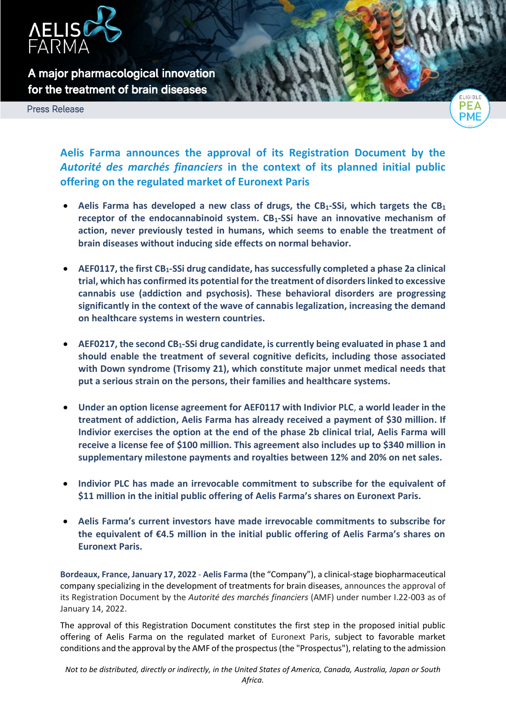

**A major pharmacological innovation for the treatment of brain diseases** 

Press Release



**Aelis Farma announces the approval of its Registration Document by the**  *Autorité des marchés financiers* **in the context of its planned initial public offering on the regulated market of Euronext Paris**

- **Aelis Farma has developed a new class of drugs, the CB1-SSi, which targets the CB<sup>1</sup> receptor of the endocannabinoid system. CB1-SSi have an innovative mechanism of action, never previously tested in humans, which seems to enable the treatment of brain diseases without inducing side effects on normal behavior.**
- **AEF0117, the first CB1-SSi drug candidate, has successfully completed a phase 2a clinical trial, which has confirmed its potential for the treatment of disorders linked to excessive cannabis use (addiction and psychosis). These behavioral disorders are progressing significantly in the context of the wave of cannabis legalization, increasing the demand on healthcare systems in western countries.**
- **AEF0217, the second CB1-SSi drug candidate, is currently being evaluated in phase 1 and should enable the treatment of several cognitive deficits, including those associated with Down syndrome (Trisomy 21), which constitute major unmet medical needs that put a serious strain on the persons, their families and healthcare systems.**
- **Under an option license agreement for AEF0117 with Indivior PLC**, **a world leader in the treatment of addiction, Aelis Farma has already received a payment of \$30 million. If Indivior exercises the option at the end of the phase 2b clinical trial, Aelis Farma will receive a license fee of \$100 million. This agreement also includes up to \$340 million in supplementary milestone payments and royalties between 12% and 20% on net sales.**
- **Indivior PLC has made an irrevocable commitment to subscribe for the equivalent of \$11 million in the initial public offering of Aelis Farma's shares on Euronext Paris.**
- **Aelis Farma's current investors have made irrevocable commitments to subscribe for the equivalent of €4.5 million in the initial public offering of Aelis Farma's shares on Euronext Paris.**

**Bordeaux, France, January 17, 2022** - **Aelis Farma** (the "Company"), a clinical-stage biopharmaceutical company specializing in the development of treatments for brain diseases, announces the approval of its Registration Document by the *Autorité des marchés financiers* (AMF) under number I.22-003 as of January 14, 2022.

The approval of this Registration Document constitutes the first step in the proposed initial public offering of Aelis Farma on the regulated market of Euronext Paris, subject to favorable market conditions and the approval by the AMF of the prospectus (the "Prospectus"), relating to the admission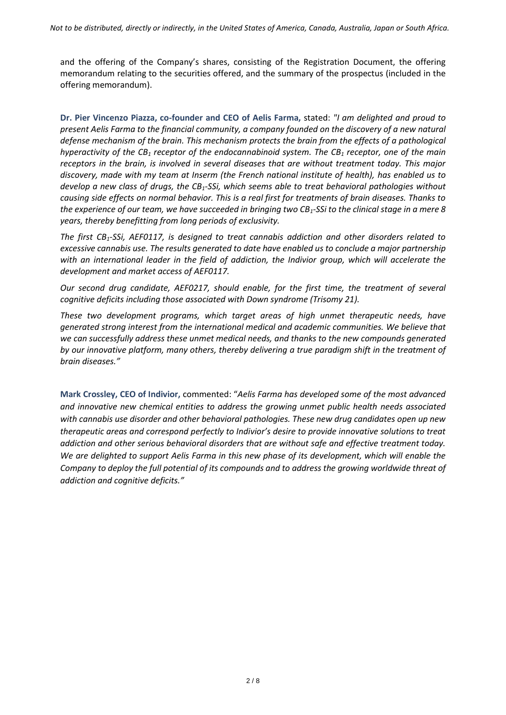and the offering of the Company's shares, consisting of the Registration Document, the offering memorandum relating to the securities offered, and the summary of the prospectus (included in the offering memorandum).

**Dr. Pier Vincenzo Piazza, co-founder and CEO of Aelis Farma,** stated: *"I am delighted and proud to present Aelis Farma to the financial community, a company founded on the discovery of a new natural defense mechanism of the brain. This mechanism protects the brain from the effects of a pathological hyperactivity of the CB<sup>1</sup> receptor of the endocannabinoid system. The CB<sup>1</sup> receptor, one of the main receptors in the brain, is involved in several diseases that are without treatment today. This major discovery, made with my team at Inserm (the French national institute of health), has enabled us to develop a new class of drugs, the CB1-SSi, which seems able to treat behavioral pathologies without causing side effects on normal behavior. This is a real first for treatments of brain diseases. Thanks to the experience of our team, we have succeeded in bringing two CB1-SSi to the clinical stage in a mere 8 years, thereby benefitting from long periods of exclusivity.*

*The first CB1-SSi, AEF0117, is designed to treat cannabis addiction and other disorders related to excessive cannabis use. The results generated to date have enabled us to conclude a major partnership with an international leader in the field of addiction, the Indivior group, which will accelerate the development and market access of AEF0117.*

*Our second drug candidate, AEF0217, should enable, for the first time, the treatment of several cognitive deficits including those associated with Down syndrome (Trisomy 21).*

*These two development programs, which target areas of high unmet therapeutic needs, have generated strong interest from the international medical and academic communities. We believe that we can successfully address these unmet medical needs, and thanks to the new compounds generated by our innovative platform, many others, thereby delivering a true paradigm shift in the treatment of brain diseases."*

**Mark Crossley, CEO of Indivior,** commented: "*Aelis Farma has developed some of the most advanced and innovative new chemical entities to address the growing unmet public health needs associated with cannabis use disorder and other behavioral pathologies. These new drug candidates open up new therapeutic areas and correspond perfectly to Indivior's desire to provide innovative solutions to treat addiction and other serious behavioral disorders that are without safe and effective treatment today. We are delighted to support Aelis Farma in this new phase of its development, which will enable the Company to deploy the full potential of its compounds and to address the growing worldwide threat of addiction and cognitive deficits."*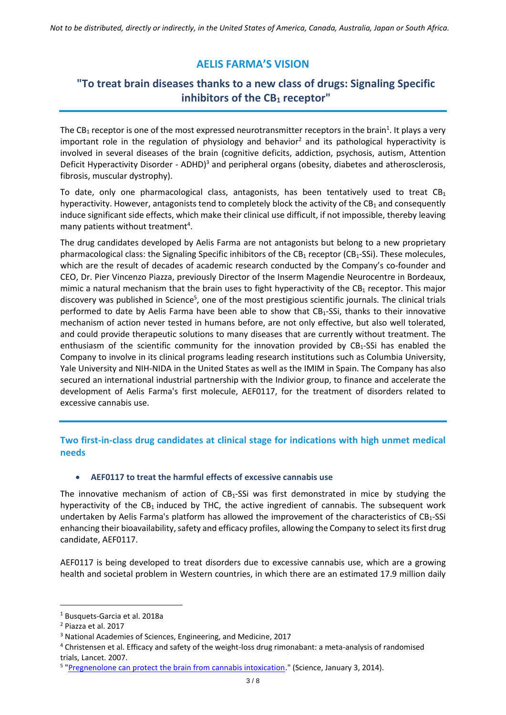# **AELIS FARMA'S VISION**

# **"To treat brain diseases thanks to a new class of drugs: Signaling Specific inhibitors of the CB<sup>1</sup> receptor"**

The CB<sub>1</sub> receptor is one of the most expressed neurotransmitter receptors in the brain<sup>1</sup>. It plays a very important role in the regulation of physiology and behavior<sup>2</sup> and its pathological hyperactivity is involved in several diseases of the brain (cognitive deficits, addiction, psychosis, autism, Attention Deficit Hyperactivity Disorder - ADHD)<sup>3</sup> and peripheral organs (obesity, diabetes and atherosclerosis, fibrosis, muscular dystrophy).

To date, only one pharmacological class, antagonists, has been tentatively used to treat  $CB<sub>1</sub>$ hyperactivity. However, antagonists tend to completely block the activity of the  $CB<sub>1</sub>$  and consequently induce significant side effects, which make their clinical use difficult, if not impossible, thereby leaving many patients without treatment<sup>4</sup>.

The drug candidates developed by Aelis Farma are not antagonists but belong to a new proprietary pharmacological class: the Signaling Specific inhibitors of the  $CB_1$  receptor ( $CB_1$ -SSi). These molecules, which are the result of decades of academic research conducted by the Company's co-founder and CEO, Dr. Pier Vincenzo Piazza, previously Director of the Inserm Magendie Neurocentre in Bordeaux, mimic a natural mechanism that the brain uses to fight hyperactivity of the  $CB_1$  receptor. This major discovery was published in Science<sup>5</sup>, one of the most prestigious scientific journals. The clinical trials performed to date by Aelis Farma have been able to show that CB1-SSi, thanks to their innovative mechanism of action never tested in humans before, are not only effective, but also well tolerated, and could provide therapeutic solutions to many diseases that are currently without treatment. The enthusiasm of the scientific community for the innovation provided by  $CB_1$ -SSi has enabled the Company to involve in its clinical programs leading research institutions such as Columbia University, Yale University and NIH-NIDA in the United States as well as the IMIM in Spain. The Company has also secured an international industrial partnership with the Indivior group, to finance and accelerate the development of Aelis Farma's first molecule, AEF0117, for the treatment of disorders related to excessive cannabis use.

## **Two first-in-class drug candidates at clinical stage for indications with high unmet medical needs**

### **AEF0117 to treat the harmful effects of excessive cannabis use**

The innovative mechanism of action of  $CB_1-SSi$  was first demonstrated in mice by studying the hyperactivity of the  $CB_1$  induced by THC, the active ingredient of cannabis. The subsequent work undertaken by Aelis Farma's platform has allowed the improvement of the characteristics of CB1-SSi enhancing their bioavailability, safety and efficacy profiles, allowing the Company to select its first drug candidate, AEF0117.

AEF0117 is being developed to treat disorders due to excessive cannabis use, which are a growing health and societal problem in Western countries, in which there are an estimated 17.9 million daily

 $\overline{\phantom{a}}$ 

<sup>1</sup> Busquets-Garcia et al. 2018a

<sup>2</sup> Piazza et al. 2017

<sup>3</sup> National Academies of Sciences, Engineering, and Medicine, 2017

<sup>4</sup> Christensen et al. Efficacy and safety of the weight-loss drug rimonabant: a meta-analysis of randomised trials, Lancet. 2007.

<sup>&</sup>lt;sup>5</sup> ["Pregnenolone can protect the brain from cannabis intoxication.](https://science.sciencemag.org/content/343/6166/94)" (Science, January 3, 2014).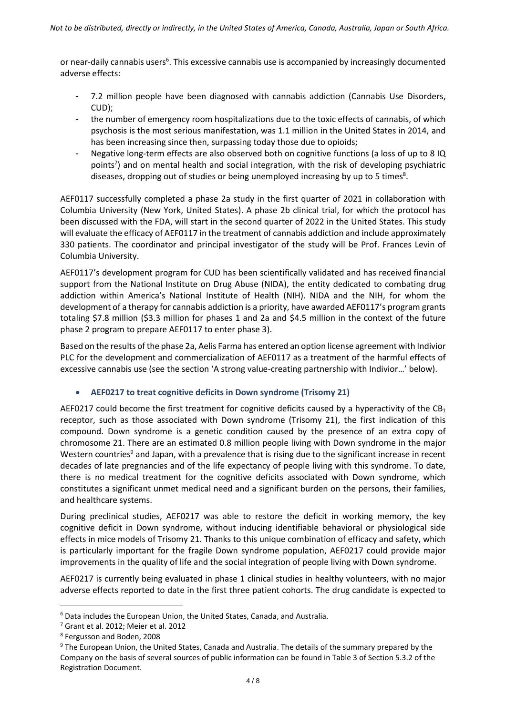or near-daily cannabis users<sup>6</sup>. This excessive cannabis use is accompanied by increasingly documented adverse effects:

- 7.2 million people have been diagnosed with cannabis addiction (Cannabis Use Disorders, CUD);
- the number of emergency room hospitalizations due to the toxic effects of cannabis, of which psychosis is the most serious manifestation, was 1.1 million in the United States in 2014, and has been increasing since then, surpassing today those due to opioids;
- Negative long-term effects are also observed both on cognitive functions (a loss of up to 8 IQ points<sup>7</sup>) and on mental health and social integration, with the risk of developing psychiatric diseases, dropping out of studies or being unemployed increasing by up to 5 times<sup>8</sup>.

AEF0117 successfully completed a phase 2a study in the first quarter of 2021 in collaboration with Columbia University (New York, United States). A phase 2b clinical trial, for which the protocol has been discussed with the FDA, will start in the second quarter of 2022 in the United States. This study will evaluate the efficacy of AEF0117 in the treatment of cannabis addiction and include approximately 330 patients. The coordinator and principal investigator of the study will be Prof. Frances Levin of Columbia University.

AEF0117's development program for CUD has been scientifically validated and has received financial support from the National Institute on Drug Abuse (NIDA), the entity dedicated to combating drug addiction within America's National Institute of Health (NIH). NIDA and the NIH, for whom the development of a therapy for cannabis addiction is a priority, have awarded AEF0117's program grants totaling \$7.8 million (\$3.3 million for phases 1 and 2a and \$4.5 million in the context of the future phase 2 program to prepare AEF0117 to enter phase 3).

Based on the results of the phase 2a, Aelis Farma has entered an option license agreement with Indivior PLC for the development and commercialization of AEF0117 as a treatment of the harmful effects of excessive cannabis use (see the section 'A strong value-creating partnership with Indivior…' below).

### **AEF0217 to treat cognitive deficits in Down syndrome (Trisomy 21)**

AEF0217 could become the first treatment for cognitive deficits caused by a hyperactivity of the  $CB_1$ receptor, such as those associated with Down syndrome (Trisomy 21), the first indication of this compound. Down syndrome is a genetic condition caused by the presence of an extra copy of chromosome 21. There are an estimated 0.8 million people living with Down syndrome in the major Western countries<sup>9</sup> and Japan, with a prevalence that is rising due to the significant increase in recent decades of late pregnancies and of the life expectancy of people living with this syndrome. To date, there is no medical treatment for the cognitive deficits associated with Down syndrome, which constitutes a significant unmet medical need and a significant burden on the persons, their families, and healthcare systems.

During preclinical studies, AEF0217 was able to restore the deficit in working memory, the key cognitive deficit in Down syndrome, without inducing identifiable behavioral or physiological side effects in mice models of Trisomy 21. Thanks to this unique combination of efficacy and safety, which is particularly important for the fragile Down syndrome population, AEF0217 could provide major improvements in the quality of life and the social integration of people living with Down syndrome.

AEF0217 is currently being evaluated in phase 1 clinical studies in healthy volunteers, with no major adverse effects reported to date in the first three patient cohorts. The drug candidate is expected to

 $\overline{\phantom{a}}$ 

<sup>6</sup> Data includes the European Union, the United States, Canada, and Australia.

<sup>7</sup> Grant et al. 2012; Meier et al. 2012

<sup>8</sup> Fergusson and Boden, 2008

<sup>9</sup> The European Union, the United States, Canada and Australia. The details of the summary prepared by the Company on the basis of several sources of public information can be found in Table 3 of Section 5.3.2 of the Registration Document.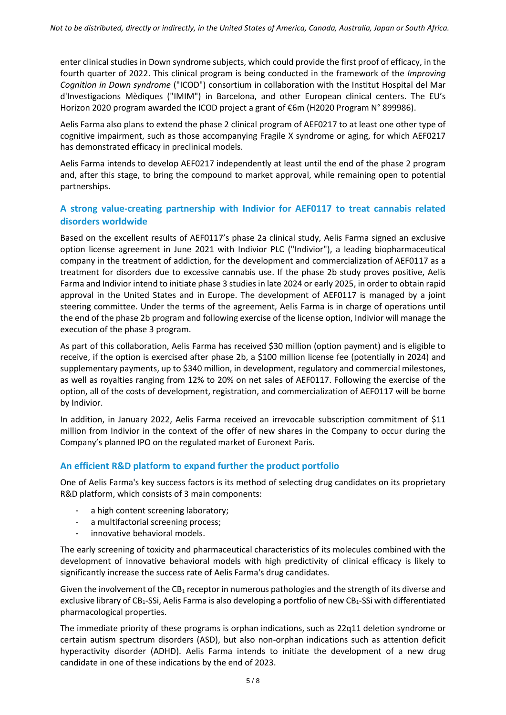enter clinical studies in Down syndrome subjects, which could provide the first proof of efficacy, in the fourth quarter of 2022. This clinical program is being conducted in the framework of the *Improving Cognition in Down syndrome* ("ICOD") consortium in collaboration with the Institut Hospital del Mar d'Investigacions Mèdiques ("IMIM") in Barcelona, and other European clinical centers. The EU's Horizon 2020 program awarded the ICOD project a grant of €6m (H2020 Program N° 899986).

Aelis Farma also plans to extend the phase 2 clinical program of AEF0217 to at least one other type of cognitive impairment, such as those accompanying Fragile X syndrome or aging, for which AEF0217 has demonstrated efficacy in preclinical models.

Aelis Farma intends to develop AEF0217 independently at least until the end of the phase 2 program and, after this stage, to bring the compound to market approval, while remaining open to potential partnerships.

## **A strong value-creating partnership with Indivior for AEF0117 to treat cannabis related disorders worldwide**

Based on the excellent results of AEF0117's phase 2a clinical study, Aelis Farma signed an exclusive option license agreement in June 2021 with Indivior PLC ("Indivior"), a leading biopharmaceutical company in the treatment of addiction, for the development and commercialization of AEF0117 as a treatment for disorders due to excessive cannabis use. If the phase 2b study proves positive, Aelis Farma and Indivior intend to initiate phase 3 studies in late 2024 or early 2025, in order to obtain rapid approval in the United States and in Europe. The development of AEF0117 is managed by a joint steering committee. Under the terms of the agreement, Aelis Farma is in charge of operations until the end of the phase 2b program and following exercise of the license option, Indivior will manage the execution of the phase 3 program.

As part of this collaboration, Aelis Farma has received \$30 million (option payment) and is eligible to receive, if the option is exercised after phase 2b, a \$100 million license fee (potentially in 2024) and supplementary payments, up to \$340 million, in development, regulatory and commercial milestones, as well as royalties ranging from 12% to 20% on net sales of AEF0117. Following the exercise of the option, all of the costs of development, registration, and commercialization of AEF0117 will be borne by Indivior.

In addition, in January 2022, Aelis Farma received an irrevocable subscription commitment of \$11 million from Indivior in the context of the offer of new shares in the Company to occur during the Company's planned IPO on the regulated market of Euronext Paris.

### **An efficient R&D platform to expand further the product portfolio**

One of Aelis Farma's key success factors is its method of selecting drug candidates on its proprietary R&D platform, which consists of 3 main components:

- a high content screening laboratory;
- a multifactorial screening process;
- innovative behavioral models.

The early screening of toxicity and pharmaceutical characteristics of its molecules combined with the development of innovative behavioral models with high predictivity of clinical efficacy is likely to significantly increase the success rate of Aelis Farma's drug candidates.

Given the involvement of the CB<sub>1</sub> receptor in numerous pathologies and the strength of its diverse and exclusive library of CB<sub>1</sub>-SSi, Aelis Farma is also developing a portfolio of new CB<sub>1</sub>-SSi with differentiated pharmacological properties.

The immediate priority of these programs is orphan indications, such as 22q11 deletion syndrome or certain autism spectrum disorders (ASD), but also non-orphan indications such as attention deficit hyperactivity disorder (ADHD). Aelis Farma intends to initiate the development of a new drug candidate in one of these indications by the end of 2023.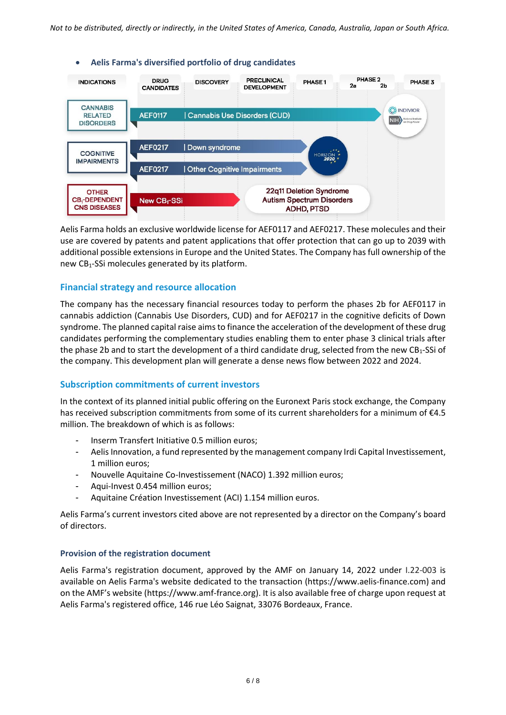

Aelis Farma holds an exclusive worldwide license for AEF0117 and AEF0217. These molecules and their use are covered by patents and patent applications that offer protection that can go up to 2039 with additional possible extensions in Europe and the United States. The Company has full ownership of the new CB1-SSi molecules generated by its platform.

#### **Financial strategy and resource allocation**

The company has the necessary financial resources today to perform the phases 2b for AEF0117 in cannabis addiction (Cannabis Use Disorders, CUD) and for AEF0217 in the cognitive deficits of Down syndrome. The planned capital raise aims to finance the acceleration of the development of these drug candidates performing the complementary studies enabling them to enter phase 3 clinical trials after the phase 2b and to start the development of a third candidate drug, selected from the new CB<sub>1</sub>-SSi of the company. This development plan will generate a dense news flow between 2022 and 2024.

#### **Subscription commitments of current investors**

In the context of its planned initial public offering on the Euronext Paris stock exchange, the Company has received subscription commitments from some of its current shareholders for a minimum of €4.5 million. The breakdown of which is as follows:

- Inserm Transfert Initiative 0.5 million euros;
- Aelis Innovation, a fund represented by the management company Irdi Capital Investissement, 1 million euros;
- Nouvelle Aquitaine Co-Investissement (NACO) 1.392 million euros;
- Aqui-Invest 0.454 million euros;
- Aquitaine Création Investissement (ACI) 1.154 million euros.

Aelis Farma's current investors cited above are not represented by a director on the Company's board of directors.

#### **Provision of the registration document**

Aelis Farma's registration document, approved by the AMF on January 14, 2022 under I.22-003 is available on Aelis Farma's website dedicated to the transaction (https://www.aelis-finance.com) and on the AMF's website (https://www.amf-france.org). It is also available free of charge upon request at Aelis Farma's registered office, 146 rue Léo Saignat, 33076 Bordeaux, France.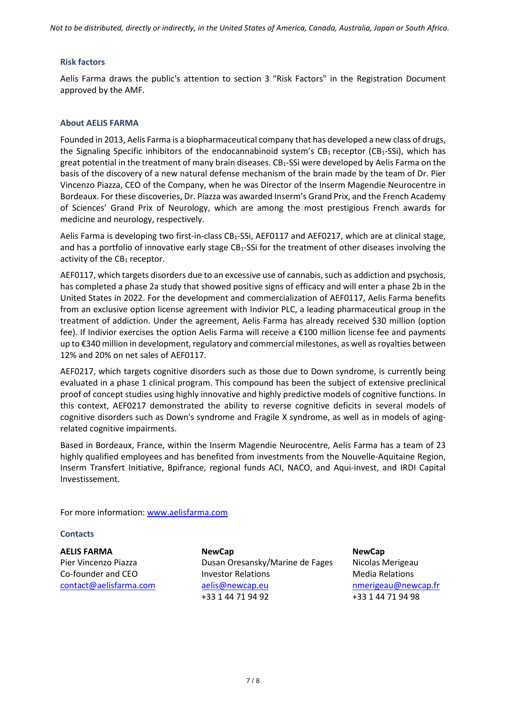*Not to be distributed, directly or indirectly, in the United States of America, Canada, Australia, Japan or South Africa.*

#### **Risk factors**

Aelis Farma draws the public's attention to section 3 "Risk Factors" in the Registration Document approved by the AMF.

#### **About AELIS FARMA**

Founded in 2013, Aelis Farma is a biopharmaceutical company that has developed a new class of drugs, the Signaling Specific inhibitors of the endocannabinoid system's  $CB_1$  receptor ( $CB_1$ -SSi), which has great potential in the treatment of many brain diseases. CB<sub>1</sub>-SSi were developed by Aelis Farma on the basis of the discovery of a new natural defense mechanism of the brain made by the team of Dr. Pier Vincenzo Piazza, CEO of the Company, when he was Director of the Inserm Magendie Neurocentre in Bordeaux. For these discoveries, Dr. Piazza was awarded Inserm's Grand Prix, and the French Academy of Sciences' Grand Prix of Neurology, which are among the most prestigious French awards for medicine and neurology, respectively.

Aelis Farma is developing two first-in-class CB<sub>1</sub>-SSi, AEF0117 and AEF0217, which are at clinical stage, and has a portfolio of innovative early stage  $CB_1$ -SSi for the treatment of other diseases involving the activity of the  $CB_1$  receptor.

AEF0117, which targets disorders due to an excessive use of cannabis, such as addiction and psychosis, has completed a phase 2a study that showed positive signs of efficacy and will enter a phase 2b in the United States in 2022. For the development and commercialization of AEF0117, Aelis Farma benefits from an exclusive option license agreement with Indivior PLC, a leading pharmaceutical group in the treatment of addiction. Under the agreement, Aelis Farma has already received \$30 million (option fee). If Indivior exercises the option Aelis Farma will receive a €100 million license fee and payments up to €340 million in development, regulatory and commercial milestones, as well as royalties between 12% and 20% on net sales of AEF0117.

AEF0217, which targets cognitive disorders such as those due to Down syndrome, is currently being evaluated in a phase 1 clinical program. This compound has been the subject of extensive preclinical proof of concept studies using highly innovative and highly predictive models of cognitive functions. In this context, AEF0217 demonstrated the ability to reverse cognitive deficits in several models of cognitive disorders such as Down's syndrome and Fragile X syndrome, as well as in models of agingrelated cognitive impairments.

Based in Bordeaux, France, within the Inserm Magendie Neurocentre, Aelis Farma has a team of 23 highly qualified employees and has benefited from investments from the Nouvelle-Aquitaine Region, Inserm Transfert Initiative, Bpifrance, regional funds ACI, NACO, and Aqui-invest, and IRDI Capital Investissement.

For more information: [www.aelisfarma.com](http://www.aelisfarma.com/)

#### **Contacts**

**AELIS FARMA** Pier Vincenzo Piazza Co-founder and CEO [contact@aelisfarma.com](mailto:contact@aelisfarma.com) **NewCap** Dusan Oresansky/Marine de Fages Investor Relations [aelis@newcap.eu](mailto:aelis@newcap.eu)  +33 1 44 71 94 92

**NewCap** Nicolas Merigeau Media Relations [nmerigeau@newcap.fr](mailto:nmerigeau@newcap.fr)  +33 1 44 71 94 98